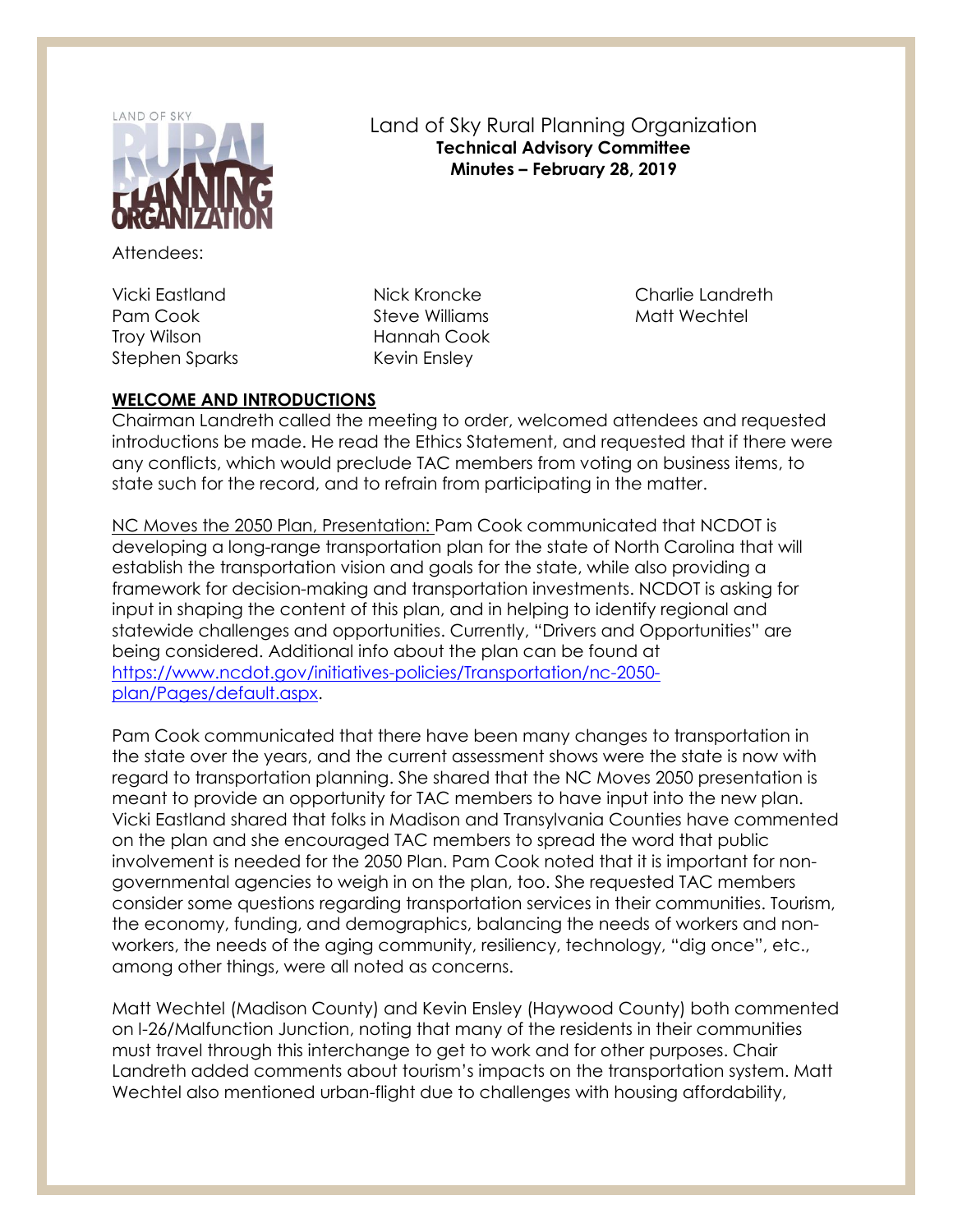

Attendees:

Vicki Eastland Pam Cook Troy Wilson Stephen Sparks Land of Sky Rural Planning Organization **Technical Advisory Committee Minutes – February 28, 2019**

Nick Kroncke Steve Williams Hannah Cook Kevin Ensley

Charlie Landreth Matt Wechtel

# **WELCOME AND INTRODUCTIONS**

Chairman Landreth called the meeting to order, welcomed attendees and requested introductions be made. He read the Ethics Statement, and requested that if there were any conflicts, which would preclude TAC members from voting on business items, to state such for the record, and to refrain from participating in the matter.

NC Moves the 2050 Plan, Presentation: Pam Cook communicated that NCDOT is developing a long-range transportation plan for the state of North Carolina that will establish the transportation vision and goals for the state, while also providing a framework for decision-making and transportation investments. NCDOT is asking for input in shaping the content of this plan, and in helping to identify regional and statewide challenges and opportunities. Currently, "Drivers and Opportunities" are being considered. Additional info about the plan can be found at [https://www.ncdot.gov/initiatives-policies/Transportation/nc-2050](https://www.ncdot.gov/initiatives-policies/Transportation/nc-2050-plan/Pages/default.aspx) [plan/Pages/default.aspx.](https://www.ncdot.gov/initiatives-policies/Transportation/nc-2050-plan/Pages/default.aspx)

Pam Cook communicated that there have been many changes to transportation in the state over the years, and the current assessment shows were the state is now with regard to transportation planning. She shared that the NC Moves 2050 presentation is meant to provide an opportunity for TAC members to have input into the new plan. Vicki Eastland shared that folks in Madison and Transylvania Counties have commented on the plan and she encouraged TAC members to spread the word that public involvement is needed for the 2050 Plan. Pam Cook noted that it is important for nongovernmental agencies to weigh in on the plan, too. She requested TAC members consider some questions regarding transportation services in their communities. Tourism, the economy, funding, and demographics, balancing the needs of workers and nonworkers, the needs of the aging community, resiliency, technology, "dig once", etc., among other things, were all noted as concerns.

Matt Wechtel (Madison County) and Kevin Ensley (Haywood County) both commented on I-26/Malfunction Junction, noting that many of the residents in their communities must travel through this interchange to get to work and for other purposes. Chair Landreth added comments about tourism's impacts on the transportation system. Matt Wechtel also mentioned urban-flight due to challenges with housing affordability,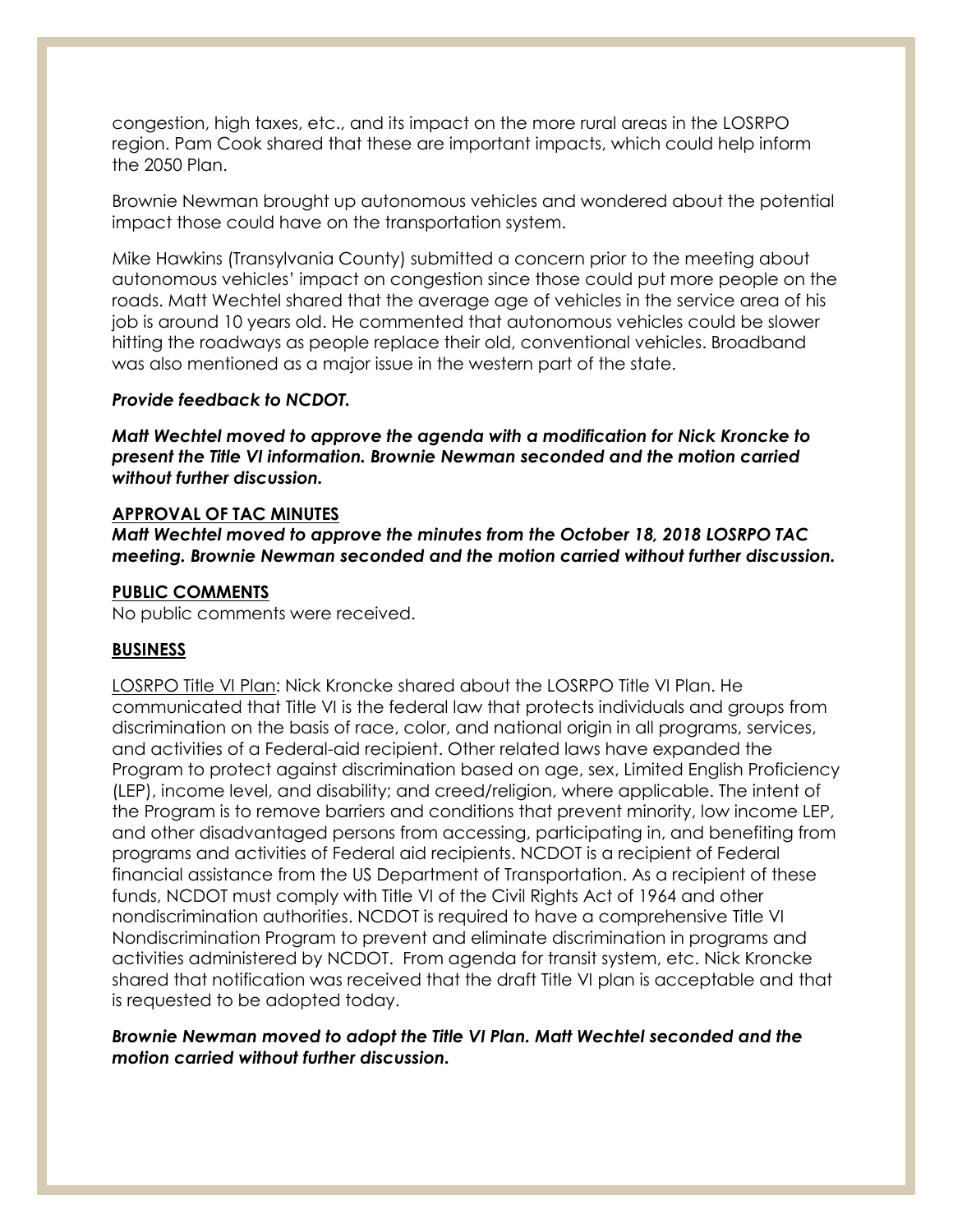congestion, high taxes, etc., and its impact on the more rural areas in the LOSRPO region. Pam Cook shared that these are important impacts, which could help inform the 2050 Plan.

Brownie Newman brought up autonomous vehicles and wondered about the potential impact those could have on the transportation system.

Mike Hawkins (Transylvania County) submitted a concern prior to the meeting about autonomous vehicles' impact on congestion since those could put more people on the roads. Matt Wechtel shared that the average age of vehicles in the service area of his job is around 10 years old. He commented that autonomous vehicles could be slower hitting the roadways as people replace their old, conventional vehicles. Broadband was also mentioned as a major issue in the western part of the state.

## *Provide feedback to NCDOT.*

*Matt Wechtel moved to approve the agenda with a modification for Nick Kroncke to present the Title VI information. Brownie Newman seconded and the motion carried without further discussion.*

## **APPROVAL OF TAC MINUTES**

*Matt Wechtel moved to approve the minutes from the October 18, 2018 LOSRPO TAC meeting. Brownie Newman seconded and the motion carried without further discussion.*

# **PUBLIC COMMENTS**

No public comments were received.

## **BUSINESS**

LOSRPO Title VI Plan: Nick Kroncke shared about the LOSRPO Title VI Plan. He communicated that Title VI is the federal law that protects individuals and groups from discrimination on the basis of race, color, and national origin in all programs, services, and activities of a Federal-aid recipient. Other related laws have expanded the Program to protect against discrimination based on age, sex, Limited English Proficiency (LEP), income level, and disability; and creed/religion, where applicable. The intent of the Program is to remove barriers and conditions that prevent minority, low income LEP, and other disadvantaged persons from accessing, participating in, and benefiting from programs and activities of Federal aid recipients. NCDOT is a recipient of Federal financial assistance from the US Department of Transportation. As a recipient of these funds, NCDOT must comply with Title VI of the Civil Rights Act of 1964 and other nondiscrimination authorities. NCDOT is required to have a comprehensive Title VI Nondiscrimination Program to prevent and eliminate discrimination in programs and activities administered by NCDOT. From agenda for transit system, etc. Nick Kroncke shared that notification was received that the draft Title VI plan is acceptable and that is requested to be adopted today.

## *Brownie Newman moved to adopt the Title VI Plan. Matt Wechtel seconded and the motion carried without further discussion.*